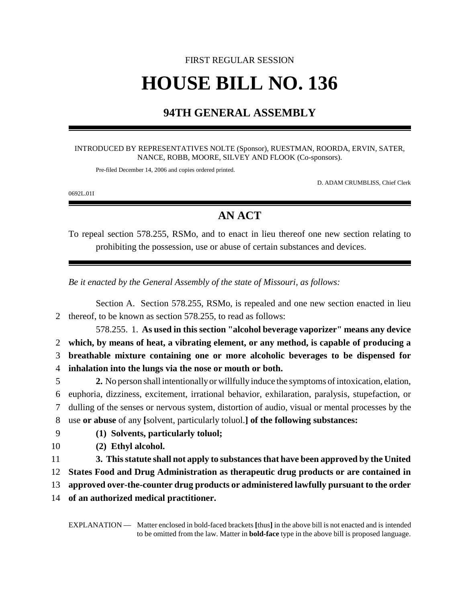# FIRST REGULAR SESSION **HOUSE BILL NO. 136**

## **94TH GENERAL ASSEMBLY**

#### INTRODUCED BY REPRESENTATIVES NOLTE (Sponsor), RUESTMAN, ROORDA, ERVIN, SATER, NANCE, ROBB, MOORE, SILVEY AND FLOOK (Co-sponsors).

Pre-filed December 14, 2006 and copies ordered printed.

D. ADAM CRUMBLISS, Chief Clerk

0692L.01I

### **AN ACT**

To repeal section 578.255, RSMo, and to enact in lieu thereof one new section relating to prohibiting the possession, use or abuse of certain substances and devices.

*Be it enacted by the General Assembly of the state of Missouri, as follows:*

Section A. Section 578.255, RSMo, is repealed and one new section enacted in lieu thereof, to be known as section 578.255, to read as follows: 578.255. 1. **As used in this section "alcohol beverage vaporizer" means any device which, by means of heat, a vibrating element, or any method, is capable of producing a breathable mixture containing one or more alcoholic beverages to be dispensed for inhalation into the lungs via the nose or mouth or both. 2.** No person shall intentionally or willfully induce the symptoms of intoxication, elation, euphoria, dizziness, excitement, irrational behavior, exhilaration, paralysis, stupefaction, or dulling of the senses or nervous system, distortion of audio, visual or mental processes by the use **or abuse** of any **[**solvent, particularly toluol.**] of the following substances: (1) Solvents, particularly toluol; (2) Ethyl alcohol. 3. This statute shall not apply to substances that have been approved by the United States Food and Drug Administration as therapeutic drug products or are contained in approved over-the-counter drug products or administered lawfully pursuant to the order**

14 **of an authorized medical practitioner.**

EXPLANATION — Matter enclosed in bold-faced brackets **[**thus**]** in the above bill is not enacted and is intended to be omitted from the law. Matter in **bold-face** type in the above bill is proposed language.